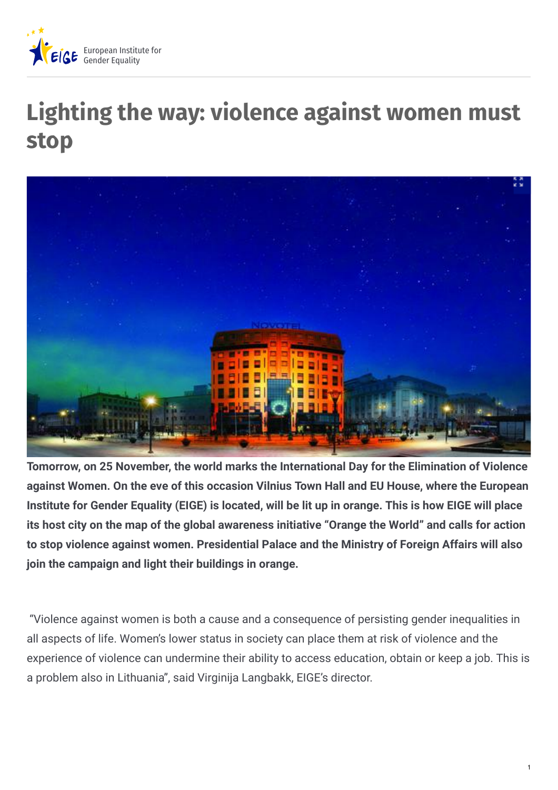

## **Lighting the way: violence against women must stop**



**Tomorrow, on 25 November, the world marks the International Day for the Elimination of Violence against Women. On the eve of this occasion Vilnius Town Hall and EU House, where the European** Institute for Gender Equality (EIGE) is located, will be lit up in orange. This is how EIGE will place its host city on the map of the global awareness initiative "Orange the World" and calls for action **to stop violence against women. Presidential Palace and the Ministry of Foreign Affairs will also join the campaign and light their buildings in orange.**

"Violence against women is both a cause and a consequence of persisting gender inequalities in all aspects of life. Women's lower status in society can place them at risk of violence and the experience of violence can undermine their ability to access education, obtain or keep a job. This is a problem also in Lithuania", said Virginija Langbakk, EIGE's director.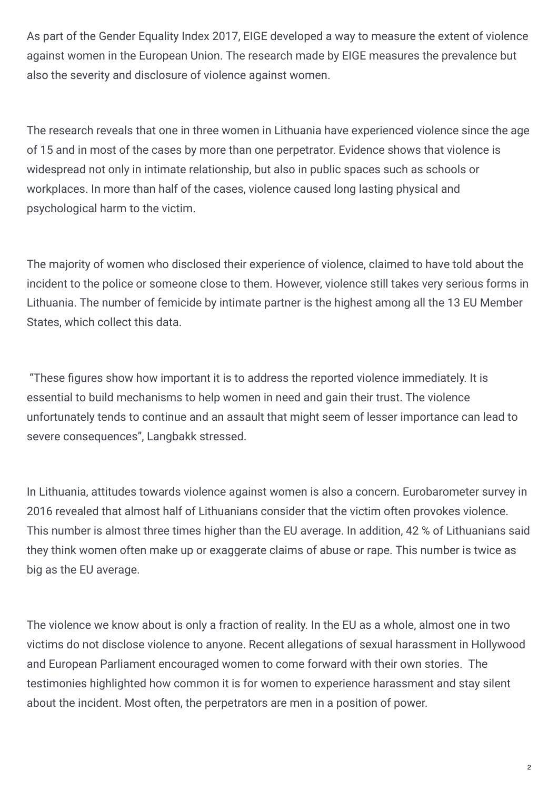As part of the Gender Equality Index 2017, EIGE developed a way to measure the extent of violence against women in the European Union. The research made by EIGE measures the prevalence but also the severity and disclosure of violence against women.

The research reveals that one in three women in Lithuania have experienced violence since the age of 15 and in most of the cases by more than one perpetrator. Evidence shows that violence is widespread not only in intimate relationship, but also in public spaces such as schools or workplaces. In more than half of the cases, violence caused long lasting physical and psychological harm to the victim.

The majority of women who disclosed their experience of violence, claimed to have told about the incident to the police or someone close to them. However, violence still takes very serious forms in Lithuania. The number of femicide by intimate partner is the highest among all the 13 EU Member States, which collect this data.

"These figures show how important it is to address the reported violence immediately. It is essential to build mechanisms to help women in need and gain their trust. The violence unfortunately tends to continue and an assault that might seem of lesser importance can lead to severe consequences", Langbakk stressed.

In Lithuania, attitudes towards violence against women is also a concern. Eurobarometer survey in 2016 revealed that almost half of Lithuanians consider that the victim often provokes violence. This number is almost three times higher than the EU average. In addition, 42 % of Lithuanians said they think women often make up or exaggerate claims of abuse or rape. This number is twice as big as the EU average.

The violence we know about is only a fraction of reality. In the EU as a whole, almost one in two victims do not disclose violence to anyone. Recent allegations of sexual harassment in Hollywood and European Parliament encouraged women to come forward with their own stories. The testimonies highlighted how common it is for women to experience harassment and stay silent about the incident. Most often, the perpetrators are men in a position of power.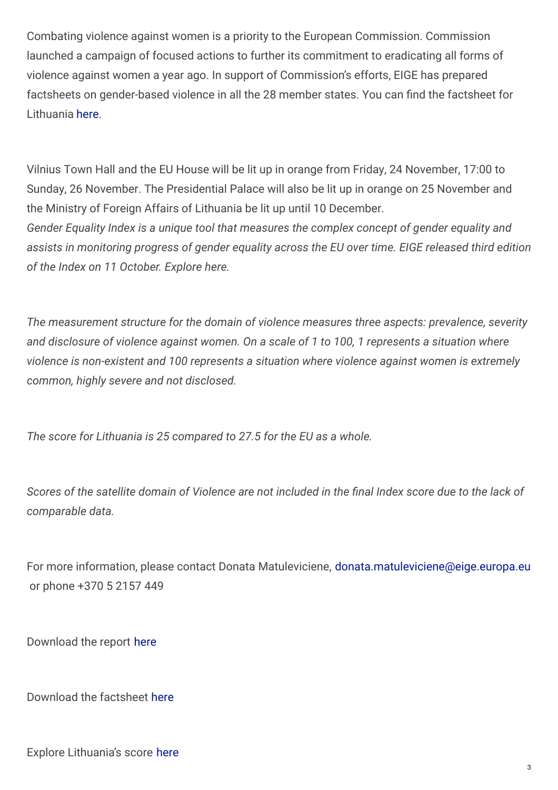Combating violence against women is a priority to the European Commission. Commission launched a campaign of focused actions to further its commitment to eradicating all forms of violence against women a year ago. In support of Commission's efforts, EIGE has prepared factsheets on gender-based violence in all the 28 member states. You can find the factsheet for Lithuania [here](https://eige.europa.eu/rdc/eige-publications/combating-violence-against-women-lithuania).

Vilnius Town Hall and the EU House will be lit up in orange from Friday, 24 November, 17:00 to Sunday, 26 November. The Presidential Palace will also be lit up in orange on 25 November and the Ministry of Foreign Affairs of Lithuania be lit up until 10 December. *Gender Equality Index is a unique tool that measures the complex concept of gender equality and assists in monitoring progress of gender equality across the EU over time. EIGE released third edition of the Index on 11 October. Explore here.*

*The measurement structure for the domain of violence measures three aspects: prevalence, severity and disclosure of violence against women. On a scale of 1 to 100, 1 represents a situation where violence is non-existent and 100 represents a situation where violence against women is extremely common, highly severe and not disclosed.*

*The score for Lithuania is 25 compared to 27.5 for the EU as a whole.*

Scores of the satellite domain of Violence are not included in the final Index score due to the lack of *comparable data.*

For more information, please contact Donata Matuleviciene, [donata.matuleviciene@eige.europa.eu](mailto:donata.matuleviciene@eige.europa.eu) or phone +370 5 2157 449

Download the report [here](https://eige.europa.eu/rdc/eige-publications/gender-equality-index-2017-measurement-framework-of-violence-against-women)

Download the factsheet [here](https://eige.europa.eu/rdc/eige-publications/gender-equality-index-2017-violence-against-women)

Explore Lithuania's score [here](https://eige.europa.eu/gender-equality-index/2015/domain/violence/LT)